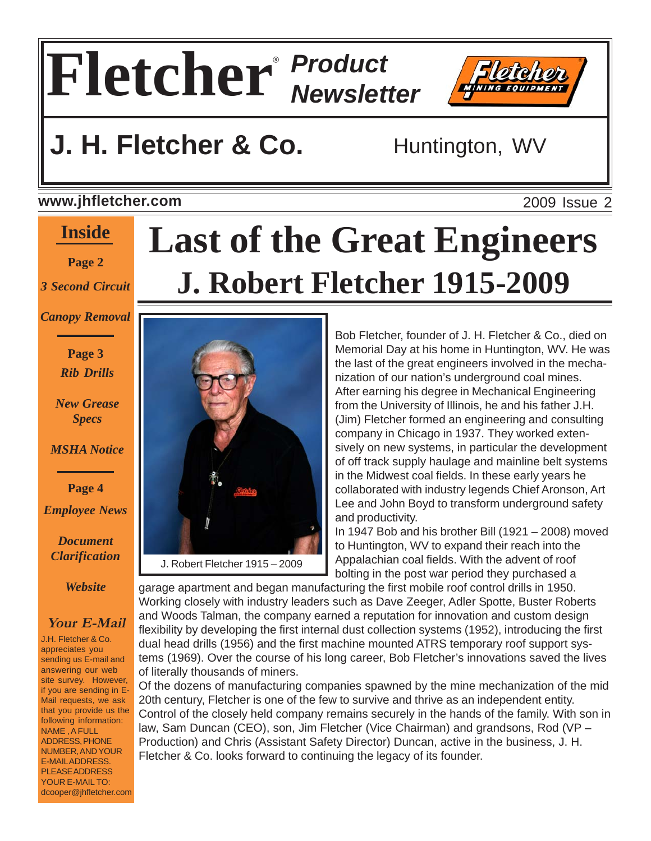

## **J. H. Fletcher & Co.** Huntington, WV

#### **www.jhfletcher.com**

#### **Inside**

#### **Page 2**

*3 Second Circuit*

*Canopy Removal*

**Page 3** *Rib Drills*

*New Grease Specs*

*MSHA Notice*

**Page 4** *Employee News*

*Document Clarification*

*Website*

#### **Your E-Mail**

J.H. Fletcher & Co. appreciates you sending us E-mail and answering our web site survey. However, if you are sending in E-Mail requests, we ask that you provide us the following information: NAME , A FULL ADDRESS, PHONE NUMBER, AND YOUR E-MAIL ADDRESS. PLEASE ADDRESS YOUR E-MAIL TO: dcooper@jhfletcher.com

# **Last of the Great Engineers J. Robert Fletcher 1915-2009**



Bob Fletcher, founder of J. H. Fletcher & Co., died on Memorial Day at his home in Huntington, WV. He was the last of the great engineers involved in the mechanization of our nation's underground coal mines. After earning his degree in Mechanical Engineering from the University of Illinois, he and his father J.H. (Jim) Fletcher formed an engineering and consulting company in Chicago in 1937. They worked extensively on new systems, in particular the development of off track supply haulage and mainline belt systems in the Midwest coal fields. In these early years he collaborated with industry legends Chief Aronson, Art Lee and John Boyd to transform underground safety and productivity.

In 1947 Bob and his brother Bill (1921 – 2008) moved to Huntington, WV to expand their reach into the Appalachian coal fields. With the advent of roof bolting in the post war period they purchased a

garage apartment and began manufacturing the first mobile roof control drills in 1950. Working closely with industry leaders such as Dave Zeeger, Adler Spotte, Buster Roberts and Woods Talman, the company earned a reputation for innovation and custom design flexibility by developing the first internal dust collection systems (1952), introducing the first dual head drills (1956) and the first machine mounted ATRS temporary roof support systems (1969). Over the course of his long career, Bob Fletcher's innovations saved the lives of literally thousands of miners.

Of the dozens of manufacturing companies spawned by the mine mechanization of the mid 20th century, Fletcher is one of the few to survive and thrive as an independent entity. Control of the closely held company remains securely in the hands of the family. With son in law, Sam Duncan (CEO), son, Jim Fletcher (Vice Chairman) and grandsons, Rod (VP – Production) and Chris (Assistant Safety Director) Duncan, active in the business, J. H. Fletcher & Co. looks forward to continuing the legacy of its founder.

2009 Issue 2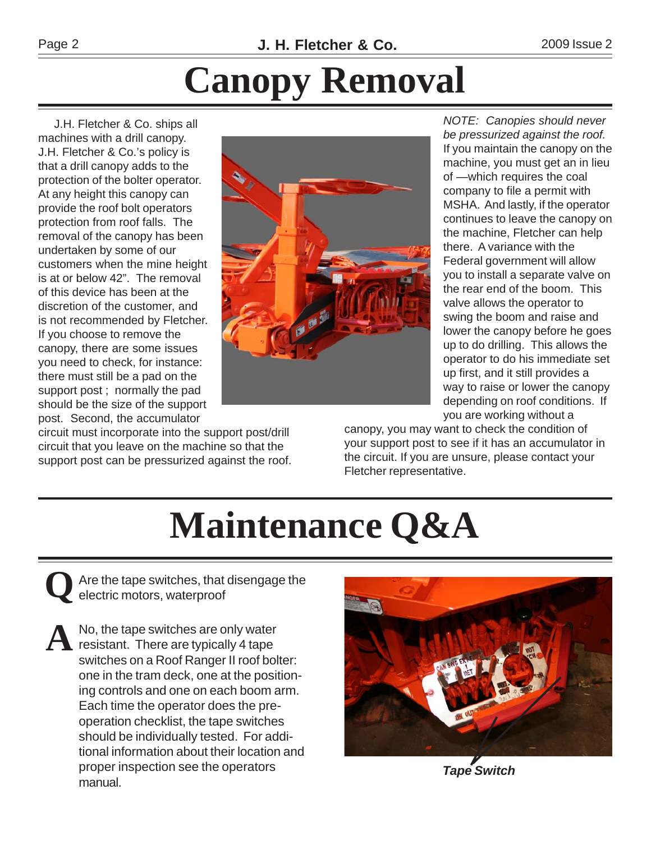# **Canopy Removal**

 J.H. Fletcher & Co. ships all machines with a drill canopy. J.H. Fletcher & Co.'s policy is that a drill canopy adds to the protection of the bolter operator. At any height this canopy can provide the roof bolt operators protection from roof falls. The removal of the canopy has been undertaken by some of our customers when the mine height is at or below 42". The removal of this device has been at the discretion of the customer, and is not recommended by Fletcher. If you choose to remove the canopy, there are some issues you need to check, for instance: there must still be a pad on the support post ; normally the pad should be the size of the support post. Second, the accumulator

circuit must incorporate into the support post/drill circuit that you leave on the machine so that the support post can be pressurized against the roof.

*NOTE: Canopies should never be pressurized against the roof.* If you maintain the canopy on the machine, you must get an in lieu of —which requires the coal company to file a permit with MSHA. And lastly, if the operator continues to leave the canopy on the machine, Fletcher can help there. A variance with the Federal government will allow you to install a separate valve on the rear end of the boom. This valve allows the operator to swing the boom and raise and lower the canopy before he goes up to do drilling. This allows the operator to do his immediate set up first, and it still provides a way to raise or lower the canopy depending on roof conditions. If you are working without a

canopy, you may want to check the condition of your support post to see if it has an accumulator in the circuit. If you are unsure, please contact your Fletcher representative.

# **Maintenance Q&A**

**Q**Are the tape switches, that disengage the electric motors, waterproof

A No, the tape switches are only water<br>resistant. There are typically 4 tape switches on a Roof Ranger II roof bolter: one in the tram deck, one at the positioning controls and one on each boom arm. Each time the operator does the preoperation checklist, the tape switches should be individually tested. For additional information about their location and proper inspection see the operators manual. *Tape Switch*



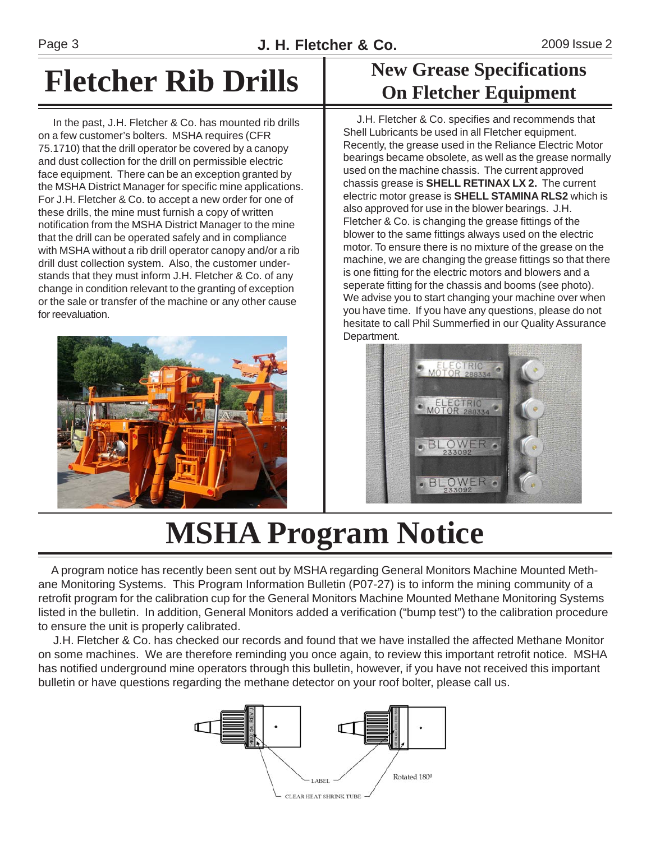## **Fletcher Rib Drills**

 In the past, J.H. Fletcher & Co. has mounted rib drills on a few customer's bolters. MSHA requires (CFR 75.1710) that the drill operator be covered by a canopy and dust collection for the drill on permissible electric face equipment. There can be an exception granted by the MSHA District Manager for specific mine applications. For J.H. Fletcher & Co. to accept a new order for one of these drills, the mine must furnish a copy of written notification from the MSHA District Manager to the mine that the drill can be operated safely and in compliance with MSHA without a rib drill operator canopy and/or a rib drill dust collection system. Also, the customer understands that they must inform J.H. Fletcher & Co. of any change in condition relevant to the granting of exception or the sale or transfer of the machine or any other cause for reevaluation.



### **New Grease Specifications On Fletcher Equipment**

 J.H. Fletcher & Co. specifies and recommends that Shell Lubricants be used in all Fletcher equipment. Recently, the grease used in the Reliance Electric Motor bearings became obsolete, as well as the grease normally used on the machine chassis. The current approved chassis grease is **SHELL RETINAX LX 2.** The current electric motor grease is **SHELL STAMINA RLS2** which is also approved for use in the blower bearings. J.H. Fletcher & Co. is changing the grease fittings of the blower to the same fittings always used on the electric motor. To ensure there is no mixture of the grease on the machine, we are changing the grease fittings so that there is one fitting for the electric motors and blowers and a seperate fitting for the chassis and booms (see photo). We advise you to start changing your machine over when you have time. If you have any questions, please do not hesitate to call Phil Summerfied in our Quality Assurance Department.



## **MSHA Program Notice**

 A program notice has recently been sent out by MSHA regarding General Monitors Machine Mounted Methane Monitoring Systems. This Program Information Bulletin (P07-27) is to inform the mining community of a retrofit program for the calibration cup for the General Monitors Machine Mounted Methane Monitoring Systems listed in the bulletin. In addition, General Monitors added a verification ("bump test") to the calibration procedure to ensure the unit is properly calibrated.

 J.H. Fletcher & Co. has checked our records and found that we have installed the affected Methane Monitor on some machines. We are therefore reminding you once again, to review this important retrofit notice. MSHA has notified underground mine operators through this bulletin, however, if you have not received this important bulletin or have questions regarding the methane detector on your roof bolter, please call us.